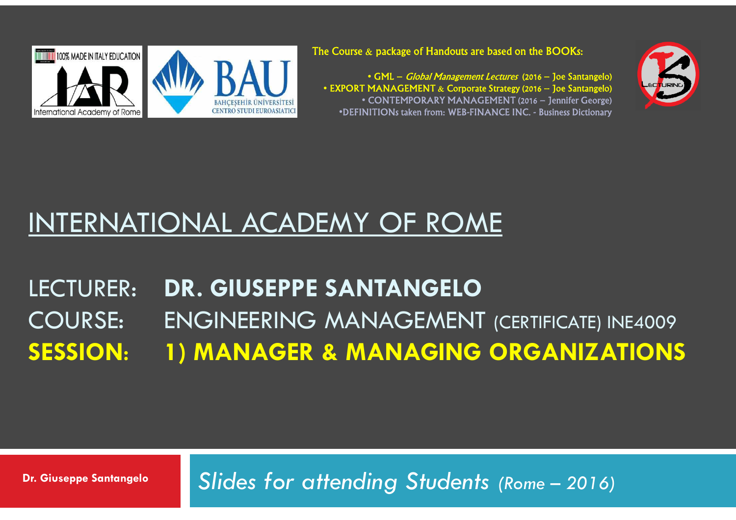

The Course  $\bm{\&}$  package of Handouts are based on the BOOKs:

• GML – Global Management Lectures (2016 – Joe Santangelo) • EXPORT MANAGEMENT & Corporate Strategy (2016 – Joe Santangelo) • CONTEMPORARY MANAGEMENT (2016 – Jennifer George) •DEFINITIONs taken from: WEB-FINANCE INC. - Business Dictionary



### INTERNATIONAL ACADEMY OF ROME

#### LECTURER: **DR. GIUSEPPE SANTANGELO**COURSE: ENGINEERING MANAGEMENT (CERTIFICATE) INE4009<br>SESSION: I ) MANAGER & MANAGING ORGANIZATION! **SESSION**:**1) MANAGER & MANAGING ORGANIZATIONS**

*Slides for attending Students (Rome – 2016)* **Dr. Giuseppe Santangelo**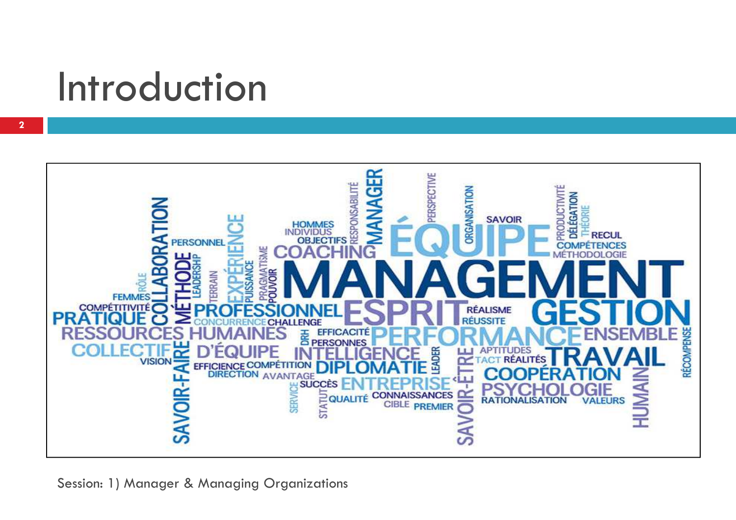### Introduction

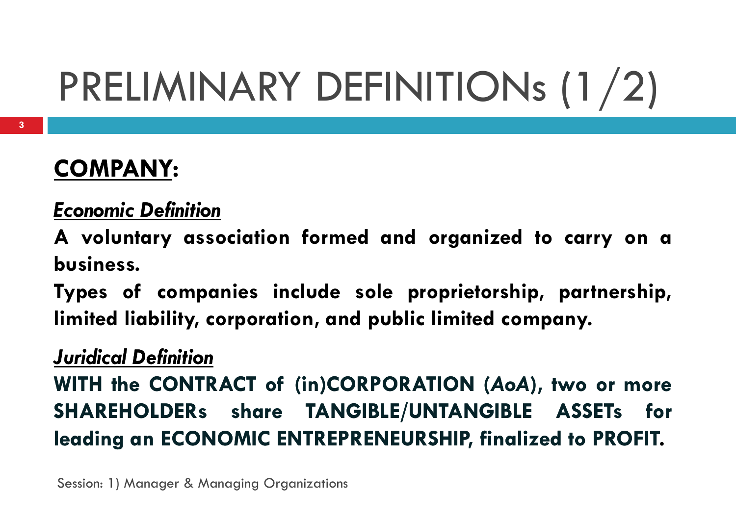## PRELIMINARY DEFINITIONs (1/2)

### **COMPANY:**

### *Economic Definition*

**<sup>A</sup> voluntary association formed and organized to carry on <sup>a</sup> business.**

**Types of companies include sole proprietorship, partnership, limited liability, corporation, and public limited company.**

### *Juridical Definition*

**WITH the CONTRACT of (in)CORPORATION (***AoA***), two or more SHAREHOLDERs share TANGIBLE/UNTANGIBLE ASSETs for leading an ECONOMIC ENTREPRENEURSHIP, finalized to PROFIT.**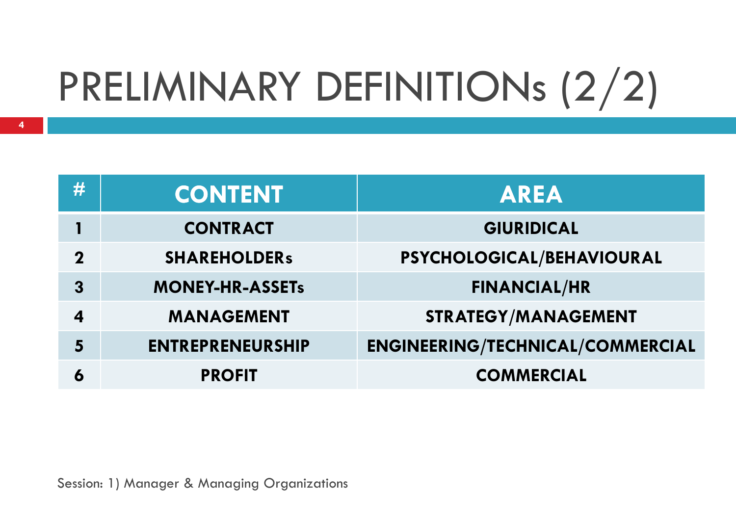## PRELIMINARY DEFINITIONs (2/2)

| #                | <b>CONTENT</b>          | <b>AREA</b>                             |
|------------------|-------------------------|-----------------------------------------|
|                  | <b>CONTRACT</b>         | <b>GIURIDICAL</b>                       |
| $\mathbf 2$      | <b>SHAREHOLDERS</b>     | PSYCHOLOGICAL/BEHAVIOURAL               |
| $\overline{3}$   | <b>MONEY-HR-ASSETs</b>  | <b>FINANCIAL/HR</b>                     |
| $\boldsymbol{4}$ | <b>MANAGEMENT</b>       | <b>STRATEGY/MANAGEMENT</b>              |
| 5                | <b>ENTREPRENEURSHIP</b> | <b>ENGINEERING/TECHNICAL/COMMERCIAL</b> |
| 6                | <b>PROFIT</b>           | <b>COMMERCIAL</b>                       |
|                  |                         |                                         |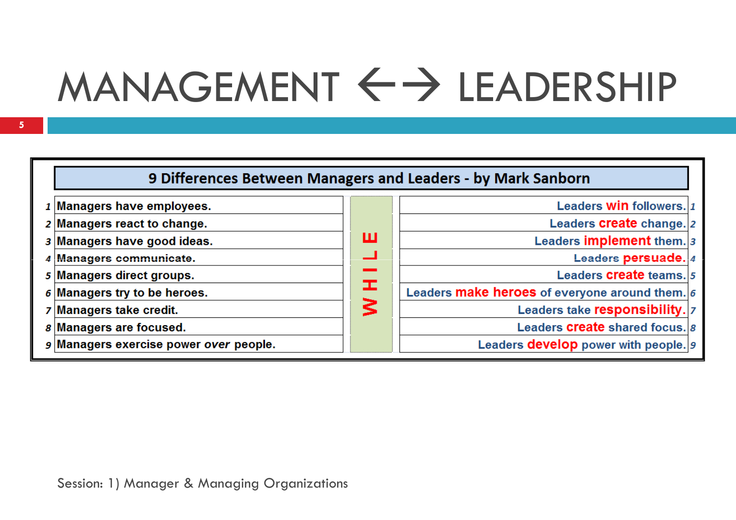# $MANAGEMENT \leftrightarrow \text{LEADERSHIP}$

| 9 Differences Between Managers and Leaders - by Mark Sanborn |    |                                                         |  |  |
|--------------------------------------------------------------|----|---------------------------------------------------------|--|--|
| $1$ Managers have employees.                                 |    | Leaders <b>Win</b> followers. 1                         |  |  |
| 2 Managers react to change.                                  |    | Leaders <b>Create</b> change. 2                         |  |  |
| 3 Managers have good ideas.                                  | ш  | Leaders implement them. 3                               |  |  |
| 4 Managers communicate.                                      | ┙  | Leaders persuade. 4                                     |  |  |
| 5 Managers direct groups.                                    |    | Leaders <b>create</b> teams. 5                          |  |  |
| $6$ Managers try to be heroes.                               | Œ. | Leaders <b>make heroes</b> of everyone around them. $6$ |  |  |
| 7 Managers take credit.                                      | 3  | Leaders take responsibility.  7                         |  |  |
| <i>s</i> Managers are focused.                               |    | Leaders <b>Create</b> shared focus. 8                   |  |  |
| a Managers exercise power over people.                       |    | Leaders <b>develop</b> power with people. 9             |  |  |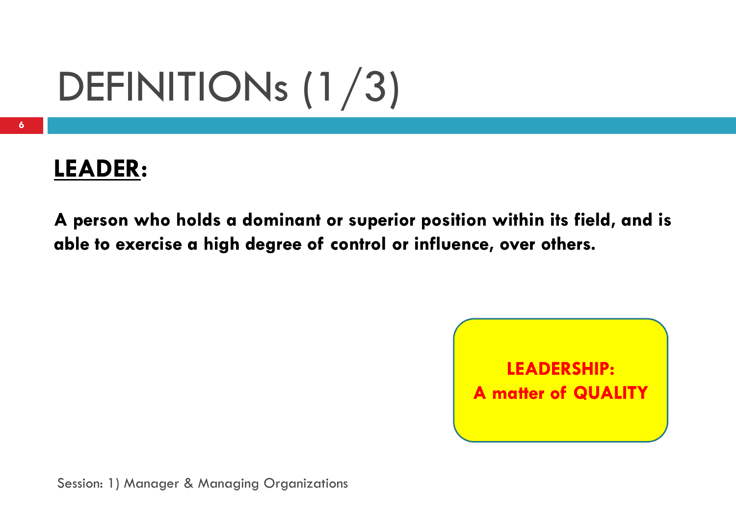## DEFINITIONs (1/3)

### **LEADER:**

A person who holds a dominant or superior position within its field, and is able to exercise a high degree of control or influence, over others.

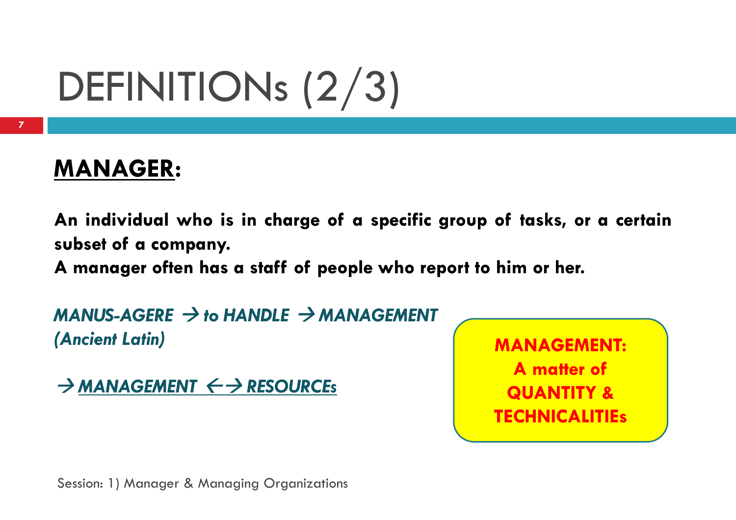## DEFINITIONs (2/3)

### **MANAGER:**

An individual who is in charge of a specific group of tasks, or a certain **subset of <sup>a</sup> company company.**

**A manager often has <sup>a</sup> staff of people who repor<sup>t</sup> to him or her.**

*MANUS-AGERE → to HANDLE → MANAGEMENT*<br>(Ancient Latin) *(Ancient Latin)*

→ <u>MANAGEMENT ← → RESOURCEs</u>

**MANAGEMENT:A matter of QUANTITY & TECHNICALITIEs**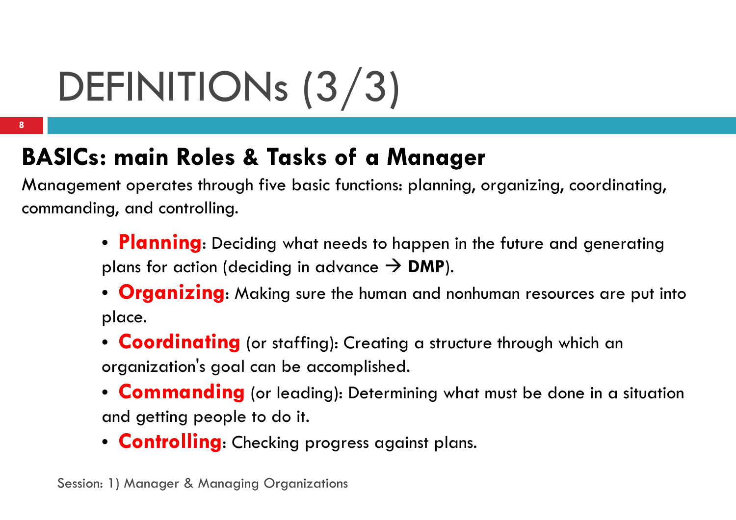## DEFINITIONs (3/3)

### **BASICs: main Roles & Tasks of a Manager**

Management operates through five basic functions: planning, organizing, coordinating, commanding, and controlling.

- **Planning**: Deciding what needs to happen in the future and generatingplans for action (deciding in advance **> DMP**).<br>• Creanizing MULI
- **Organizing**: Making sure the human and nonhuman resources are put into place.
- **Coordinating** (or staffing): Creating a structure through which an organization's goal can be accomplished.
- **Commanding** (or leading): Determining what must be done in a situation and getting people to do it.
- **Controlling**: Checking progress against plans.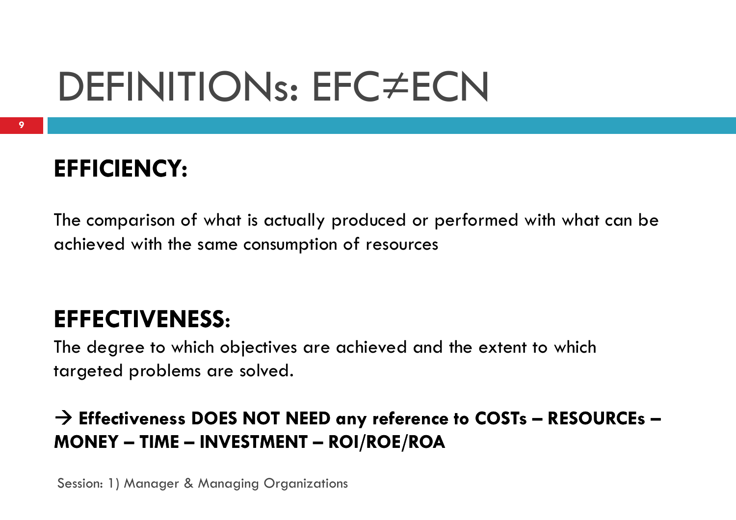### DEFINITIONs: EFC≠ECN

### **EFFICIENCY:**

The comparison of what is actually produced or performed with what can be achieved with the same consumption of resources

### **EFFECTIVENESS:**

The degree to which objectives are achieved and the extent to which targeted problems are solved.

### - **Effectiveness DOES NOT NEED any reference to COSTs – RESOURCEs – MONEY – TIME – INVESTMENT – ROI/ROE/ROA**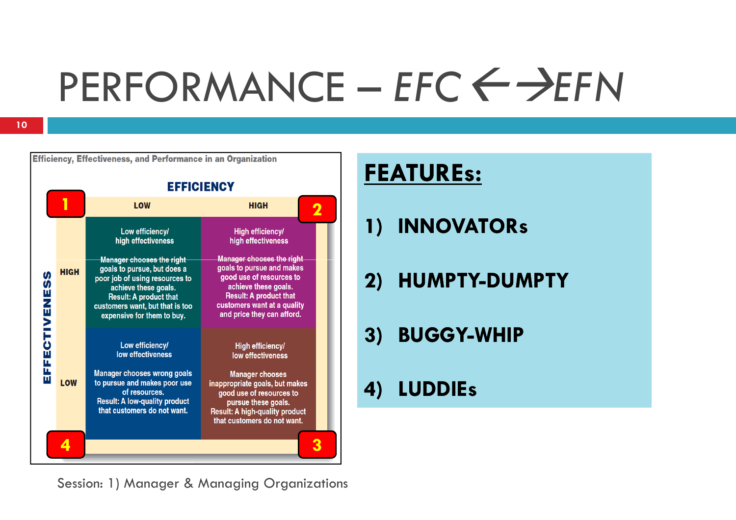## PERFORMANCE – *EFC*-*EFN*

|              |             |                                                                                                                                                                                                                      | <b>EFFICIENCY</b>                                                                                                                                                                                               |     |
|--------------|-------------|----------------------------------------------------------------------------------------------------------------------------------------------------------------------------------------------------------------------|-----------------------------------------------------------------------------------------------------------------------------------------------------------------------------------------------------------------|-----|
|              |             | <b>LOW</b>                                                                                                                                                                                                           | <b>HIGH</b>                                                                                                                                                                                                     |     |
|              |             | Low efficiency/<br>high effectiveness                                                                                                                                                                                | High efficiency/<br>high effectiveness                                                                                                                                                                          | 1 ) |
| <b>S</b>     | <b>HIGH</b> | Manager chooses the right<br>goals to pursue, but does a<br>poor job of using resources to<br>achieve these goals.<br><b>Result: A product that</b><br>customers want, but that is too<br>expensive for them to buy. | <b>Manager chooses the right</b><br>goals to pursue and makes<br>good use of resources to<br>achieve these goals.<br><b>Result: A product that</b><br>customers want at a quality<br>and price they can afford. | 2)  |
| EFFECTIVENES |             | Low efficiency/<br>low effectiveness                                                                                                                                                                                 | High efficiency/<br>low effectiveness                                                                                                                                                                           | 3)  |
|              | <b>LOW</b>  | <b>Manager chooses wrong goals</b><br>to pursue and makes poor use<br>of resources.<br><b>Result: A low-quality product</b><br>that customers do not want.                                                           | <b>Manager chooses</b><br>inappropriate goals, but makes<br>good use of resources to<br>pursue these goals.<br><b>Result: A high-quality product</b><br>that customers do not want.                             |     |
|              |             |                                                                                                                                                                                                                      |                                                                                                                                                                                                                 |     |

Session: 1) Manager & Managing Organizations

### **FEATUREs:**

- **1) INNOVATORs**
- **2) HUMPTY-DUMPTY**
- **3) BUGGY-WHIP**

### **4) LUDDIEs**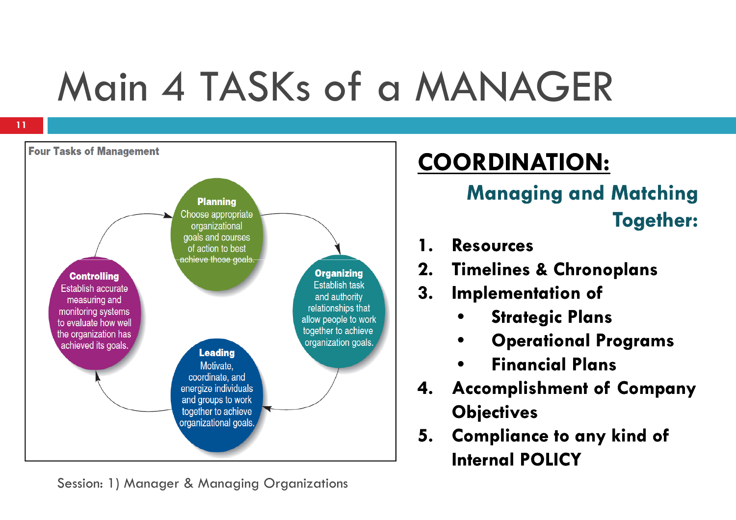## Main 4 TASKs of a MANAGER

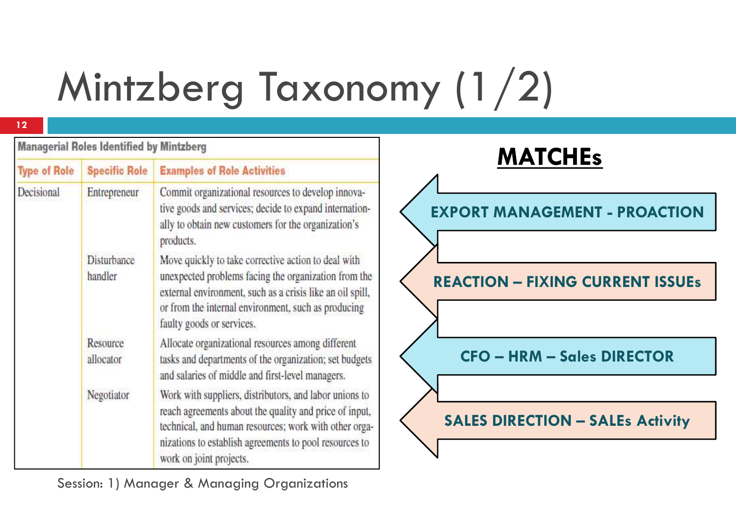## Mintzberg Taxonomy (1/2)

| <b>Managerial Roles Identified by Mintzberg</b> |                        |                                                                                                                                                                                                                                                                | <b>MATCHEs</b>                          |
|-------------------------------------------------|------------------------|----------------------------------------------------------------------------------------------------------------------------------------------------------------------------------------------------------------------------------------------------------------|-----------------------------------------|
| <b>Type of Role</b>                             | <b>Specific Role</b>   | <b>Examples of Role Activities</b>                                                                                                                                                                                                                             |                                         |
| Decisional                                      | Entrepreneur           | Commit organizational resources to develop innova-<br>tive goods and services; decide to expand internation-<br>ally to obtain new customers for the organization's<br>products.                                                                               | <b>EXPORT MANAGEMENT - PROACTION</b>    |
|                                                 | Disturbance<br>handler | Move quickly to take corrective action to deal with<br>unexpected problems facing the organization from the<br>external environment, such as a crisis like an oil spill,<br>or from the internal environment, such as producing<br>faulty goods or services.   | <b>REACTION - FIXING CURRENT ISSUEs</b> |
|                                                 | Resource<br>allocator  | Allocate organizational resources among different<br>tasks and departments of the organization; set budgets<br>and salaries of middle and first-level managers.                                                                                                | <b>CFO - HRM - Sales DIRECTOR</b>       |
|                                                 | Negotiator             | Work with suppliers, distributors, and labor unions to<br>reach agreements about the quality and price of input,<br>technical, and human resources; work with other orga-<br>nizations to establish agreements to pool resources to<br>work on joint projects. | <b>SALES DIRECTION - SALEs Activity</b> |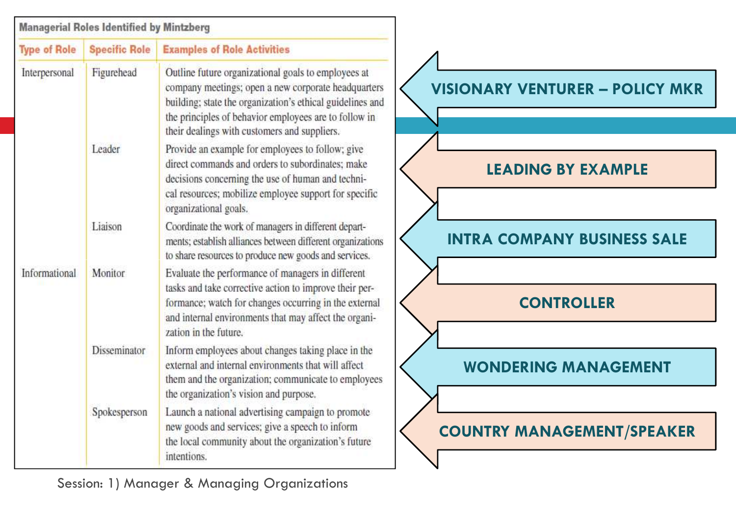|                     | <b>Managerial Roles Identified by Mintzberg</b> |                                                                                                                                                                                                                                                                                  |                                        |
|---------------------|-------------------------------------------------|----------------------------------------------------------------------------------------------------------------------------------------------------------------------------------------------------------------------------------------------------------------------------------|----------------------------------------|
| <b>Type of Role</b> | <b>Specific Role</b>                            | <b>Examples of Role Activities</b>                                                                                                                                                                                                                                               |                                        |
| Interpersonal       | Figurehead                                      | Outline future organizational goals to employees at<br>company meetings; open a new corporate headquarters<br>building; state the organization's ethical guidelines and<br>the principles of behavior employees are to follow in<br>their dealings with customers and suppliers. | <b>VISIONARY VENTURER - POLICY MKR</b> |
|                     | Leader                                          | Provide an example for employees to follow; give<br>direct commands and orders to subordinates; make<br>decisions concerning the use of human and techni-<br>cal resources; mobilize employee support for specific<br>organizational goals.                                      | <b>LEADING BY EXAMPLE</b>              |
|                     | Liaison                                         | Coordinate the work of managers in different depart-<br>ments; establish alliances between different organizations<br>to share resources to produce new goods and services.                                                                                                      | <b>INTRA COMPANY BUSINESS SALE</b>     |
| Informational       | Monitor                                         | Evaluate the performance of managers in different<br>tasks and take corrective action to improve their per-<br>formance; watch for changes occurring in the external<br>and internal environments that may affect the organi-<br>zation in the future.                           | <b>CONTROLLER</b>                      |
|                     | Disseminator                                    | Inform employees about changes taking place in the<br>external and internal environments that will affect<br>them and the organization; communicate to employees<br>the organization's vision and purpose.                                                                       | <b>WONDERING MANAGEMENT</b>            |
|                     | Spokesperson                                    | Launch a national advertising campaign to promote<br>new goods and services; give a speech to inform<br>the local community about the organization's future<br>intentions.                                                                                                       | <b>COUNTRY MANAGEMENT/SPEAKER</b>      |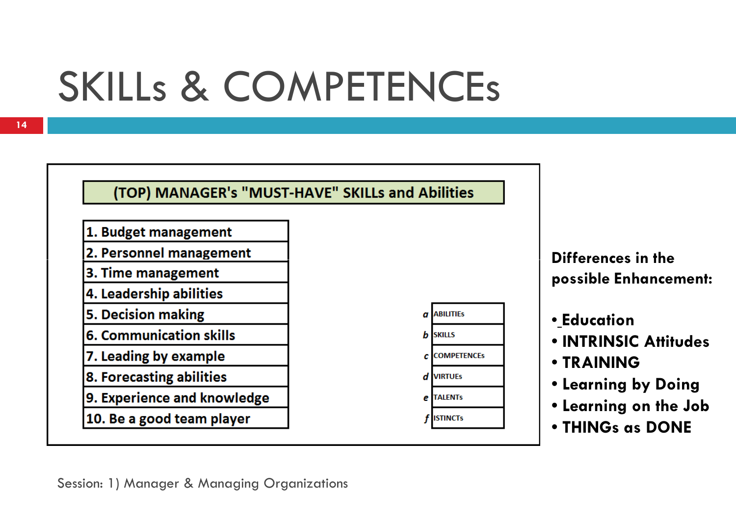## SKILLs & COMPETENCEs

#### (TOP) MANAGER's "MUST-HAVE" SKILLs and Abilities

- 1. Budget management
- 2. Personnel management
- 3. Time management
- 4. Leadership abilities
- **5. Decision making**
- **6. Communication skills**
- 7. Leading by example
- 8. Forecasting abilities
- 9. Experience and knowledge
- 10. Be a good team player



**Differences in the possible Enhancement:**

- **Education**
- **INTRINSIC Attitudes**
- **TRAINING**
- **Learning by Doing**
- **Learning on the Job**
- **THINGs as DONE**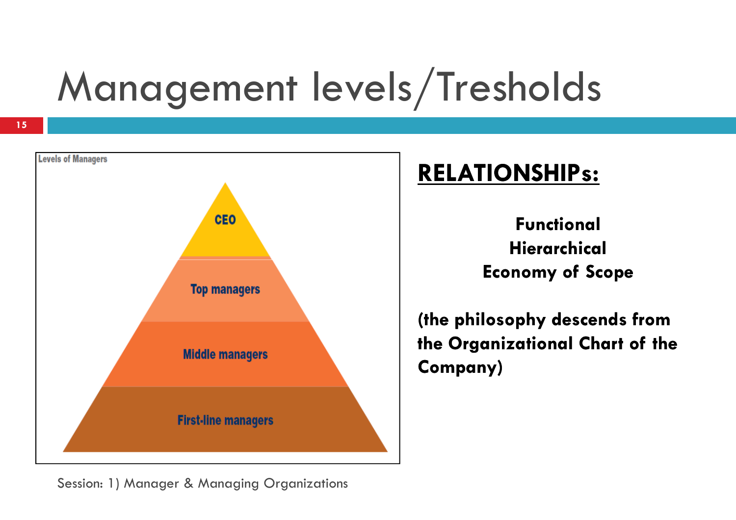## Management levels/Tresholds



### **RELATIONSHIPs:**

**FunctionalHierarchicalEconomy of Scope**

**(the philosophy descends from the Organizational Chart of the Company)**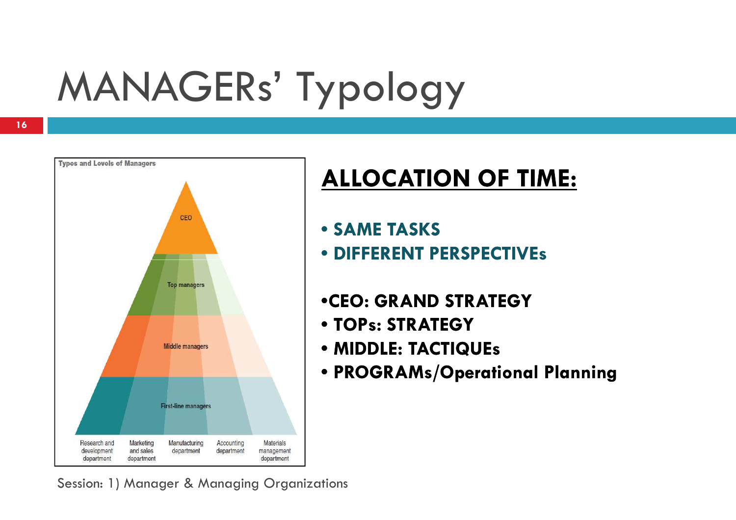## MANAGERs' Typology



### **ALLOCATION OF TIME:**

- **SAME TASKS**
- **DIFFERENT PERSPECTIVEs**
- •**CEO: GRAND STRATEGY**
- **TOPs: STRATEGY**
- **MIDDLE: TACTIQUEs**
- **PROGRAMs/Operational Planning**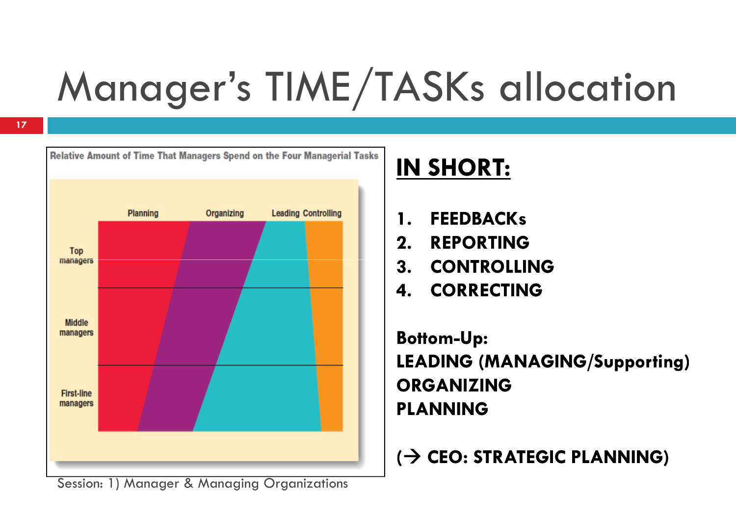## Manager's TIME/TASKs allocation



### **IN SHORT:**

- **1. FEEDBACKs**<br>**2.** REPORTING
- **2. REPORTING**
- **3.CONTROLLING**
- **4. CORRECTING**

**Bottom-Up:LEADING (MANAGING/Supporting)ORGANIZINGPLANNING**

**(**- **CEO: STRATEGIC PLANNING)**

Session: 1) Manager & Managing Organizations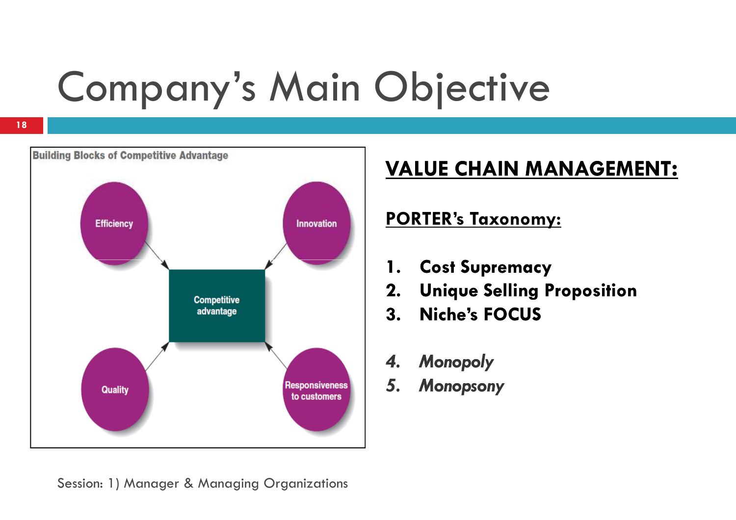## Company's Main Objective



### **VALUE CHAIN MANAGEMENT:**

#### **PORTER's Taxonomy:**

- **1.Cost Supremacy**
- **2. Unique Selling Proposition**
- **3. Niche's FOCUS**
- *4. Monopoly*
- *5. Monopsony*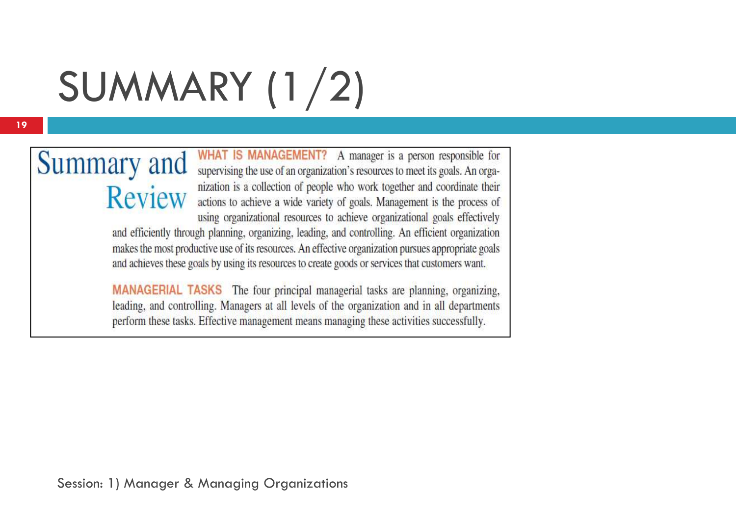## SUMMARY (1/2)

## **Review**

Summary and WHAT IS MANAGEMENT? A manager is a person responsible for supervising the use of an organization's resources to meet its goals. An organization is a collection of people who work together and coordinate their actions to achieve a wide variety of goals. Management is the process of using organizational resources to achieve organizational goals effectively and efficiently through planning, organizing, leading, and controlling. An efficient organization makes the most productive use of its resources. An effective organization pursues appropriate goals and achieves these goals by using its resources to create goods or services that customers want.

> **MANAGERIAL TASKS** The four principal managerial tasks are planning, organizing, leading, and controlling. Managers at all levels of the organization and in all departments perform these tasks. Effective management means managing these activities successfully.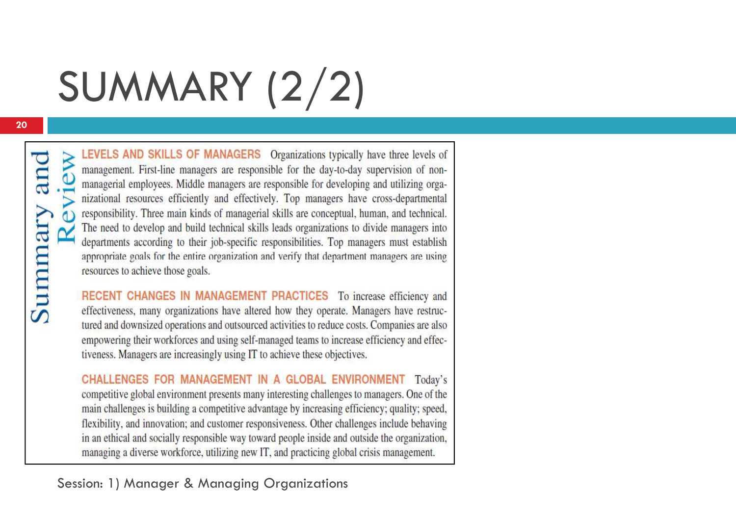## SUMMARY (2/2)

Summary and

LEVELS AND SKILLS OF MANAGERS Organizations typically have three levels of management. First-line managers are responsible for the day-to-day supervision of nonmanagerial employees. Middle managers are responsible for developing and utilizing organizational resources efficiently and effectively. Top managers have cross-departmental responsibility. Three main kinds of managerial skills are conceptual, human, and technical. The need to develop and build technical skills leads organizations to divide managers into departments according to their job-specific responsibilities. Top managers must establish appropriate goals for the entire organization and verify that department managers are using resources to achieve those goals.

RECENT CHANGES IN MANAGEMENT PRACTICES To increase efficiency and effectiveness, many organizations have altered how they operate. Managers have restructured and downsized operations and outsourced activities to reduce costs. Companies are also empowering their workforces and using self-managed teams to increase efficiency and effectiveness. Managers are increasingly using IT to achieve these objectives.

CHALLENGES FOR MANAGEMENT IN A GLOBAL ENVIRONMENT Today's competitive global environment presents many interesting challenges to managers. One of the main challenges is building a competitive advantage by increasing efficiency; quality; speed, flexibility, and innovation; and customer responsiveness. Other challenges include behaving in an ethical and socially responsible way toward people inside and outside the organization, managing a diverse workforce, utilizing new IT, and practicing global crisis management.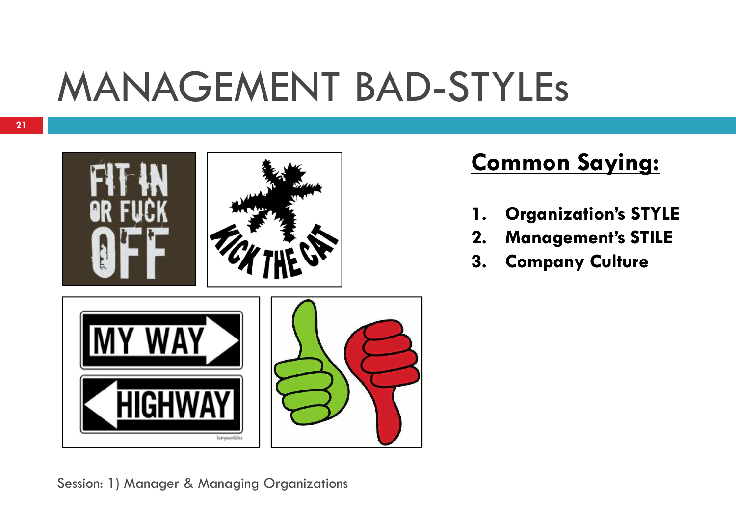### MANAGEMENT BAD-STYLEs



### **Common Saying:**

- **1. Organization's STYLE**
- **2. Management's STILE**
- **3.Company Culture**